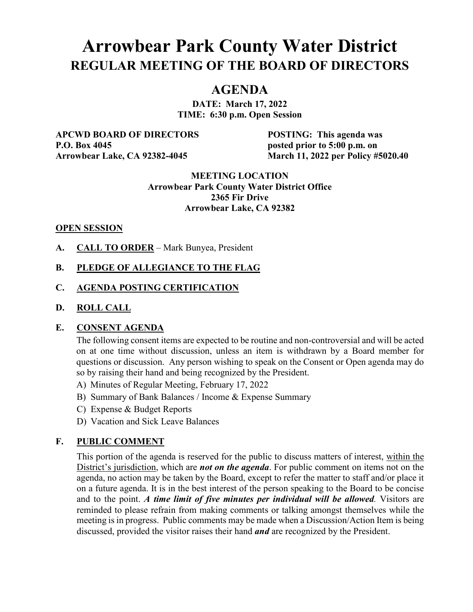# **Arrowbear Park County Water District REGULAR MEETING OF THE BOARD OF DIRECTORS**

## **AGENDA**

**DATE: March 17, 2022 TIME: 6:30 p.m. Open Session**

**APCWD BOARD OF DIRECTORS POSTING: This agenda was P.O. Box 4045 posted prior to 5:00 p.m. on** 

**Arrowbear Lake, CA 92382-4045 March 11, 2022 per Policy #5020.40**

#### **MEETING LOCATION Arrowbear Park County Water District Office 2365 Fir Drive Arrowbear Lake, CA 92382**

#### **OPEN SESSION**

**A. CALL TO ORDER** – Mark Bunyea, President

## **B. PLEDGE OF ALLEGIANCE TO THE FLAG**

## **C. AGENDA POSTING CERTIFICATION**

#### **D. ROLL CALL**

#### **E. CONSENT AGENDA**

The following consent items are expected to be routine and non-controversial and will be acted on at one time without discussion, unless an item is withdrawn by a Board member for questions or discussion. Any person wishing to speak on the Consent or Open agenda may do so by raising their hand and being recognized by the President.

- A) Minutes of Regular Meeting, February 17, 2022
- B) Summary of Bank Balances / Income & Expense Summary
- C) Expense & Budget Reports
- D) Vacation and Sick Leave Balances

## **F. PUBLIC COMMENT**

This portion of the agenda is reserved for the public to discuss matters of interest, within the District's jurisdiction, which are *not on the agenda*. For public comment on items not on the agenda, no action may be taken by the Board, except to refer the matter to staff and/or place it on a future agenda. It is in the best interest of the person speaking to the Board to be concise and to the point. *A time limit of five minutes per individual will be allowed.* Visitors are reminded to please refrain from making comments or talking amongst themselves while the meeting is in progress. Public comments may be made when a Discussion/Action Item is being discussed, provided the visitor raises their hand *and* are recognized by the President.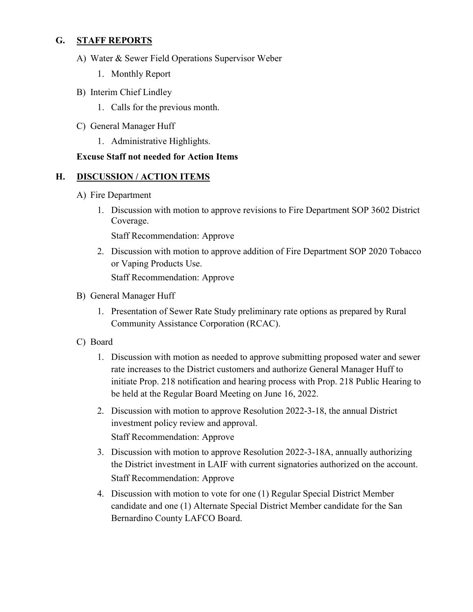## **G. STAFF REPORTS**

- A) Water & Sewer Field Operations Supervisor Weber
	- 1. Monthly Report
- B) Interim Chief Lindley
	- 1. Calls for the previous month.
- C) General Manager Huff
	- 1. Administrative Highlights.

## **Excuse Staff not needed for Action Items**

## **H. DISCUSSION / ACTION ITEMS**

- A) Fire Department
	- 1. Discussion with motion to approve revisions to Fire Department SOP 3602 District Coverage.

Staff Recommendation: Approve

- 2. Discussion with motion to approve addition of Fire Department SOP 2020 Tobacco or Vaping Products Use. Staff Recommendation: Approve
- B) General Manager Huff
	- 1. Presentation of Sewer Rate Study preliminary rate options as prepared by Rural Community Assistance Corporation (RCAC).
- C) Board
	- 1. Discussion with motion as needed to approve submitting proposed water and sewer rate increases to the District customers and authorize General Manager Huff to initiate Prop. 218 notification and hearing process with Prop. 218 Public Hearing to be held at the Regular Board Meeting on June 16, 2022.
	- 2. Discussion with motion to approve Resolution 2022-3-18, the annual District investment policy review and approval. Staff Recommendation: Approve
	- 3. Discussion with motion to approve Resolution 2022-3-18A, annually authorizing the District investment in LAIF with current signatories authorized on the account. Staff Recommendation: Approve
	- 4. Discussion with motion to vote for one (1) Regular Special District Member candidate and one (1) Alternate Special District Member candidate for the San Bernardino County LAFCO Board.